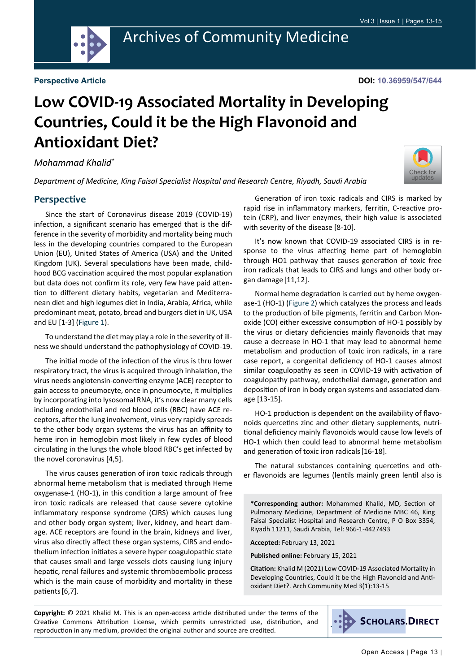

## **Low COVID-19 Associated Mortality in Developing Countries, Could it be the High Flavonoid and Antioxidant Diet?**

*Mohammad Khalid\**

*Department of Medicine, King Faisal Specialist Hospital and Research Centre, Riyadh, Saudi Arabia*

## **Perspective**

Since the start of Coronavirus disease 2019 (COVID-19) infection, a significant scenario has emerged that is the difference in the severity of morbidity and mortality being much less in the developing countries compared to the European Union (EU), United States of America (USA) and the United Kingdom (UK). Several speculations have been made, childhood BCG vaccination acquired the most popular explanation but data does not confirm its role, very few have paid attention to different dietary habits, vegetarian and Mediterranean diet and high legumes diet in India, Arabia, Africa, while predominant meat, potato, bread and burgers diet in UK, USA and EU [1-3] [\(Figure 1](#page-1-0)).

To understand the diet may play a role in the severity of illness we should understand the pathophysiology of COVID-19.

The initial mode of the infection of the virus is thru lower respiratory tract, the virus is acquired through inhalation, the virus needs angiotensin-converting enzyme (ACE) receptor to gain access to pneumocyte, once in pneumocyte, it multiplies by incorporating into lysosomal RNA, it's now clear many cells including endothelial and red blood cells (RBC) have ACE receptors, after the lung involvement, virus very rapidly spreads to the other body organ systems the virus has an affinity to heme iron in hemoglobin most likely in few cycles of blood circulating in the lungs the whole blood RBC's get infected by the novel coronavirus [4,5].

The virus causes generation of iron toxic radicals through abnormal heme metabolism that is mediated through Heme oxygenase-1 (HO-1), in this condition a large amount of free iron toxic radicals are released that cause severe cytokine inflammatory response syndrome (CIRS) which causes lung and other body organ system; liver, kidney, and heart damage. ACE receptors are found in the brain, kidneys and liver, virus also directly affect these organ systems, CIRS and endothelium infection initiates a severe hyper coagulopathic state that causes small and large vessels clots causing lung injury hepatic, renal failures and systemic thromboembolic process which is the main cause of morbidity and mortality in these patients[6,7].

Generation of iron toxic radicals and CIRS is marked by rapid rise in inflammatory markers, ferritin, C-reactive protein (CRP), and liver enzymes, their high value is associated with severity of the disease [8-10].

It's now known that COVID-19 associated CIRS is in response to the virus affecting heme part of hemoglobin through HO1 pathway that causes generation of toxic free iron radicals that leads to CIRS and lungs and other body organ damage [11,12].

Normal heme degradation is carried out by heme oxygenase-1 (HO-1) [\(Figure 2](#page-1-1)) which catalyzes the process and leads to the production of bile pigments, ferritin and Carbon Monoxide (CO) either excessive consumption of HO-1 possibly by the virus or dietary deficiencies mainly flavonoids that may cause a decrease in HO-1 that may lead to abnormal heme metabolism and production of toxic iron radicals, in a rare case report, a congenital deficiency of HO-1 causes almost similar coagulopathy as seen in COVID-19 with activation of coagulopathy pathway, endothelial damage, generation and deposition of iron in body organ systems and associated damage [13-15].

HO-1 production is dependent on the availability of flavonoids quercetins zinc and other dietary supplements, nutritional deficiency mainly flavonoids would cause low levels of HO-1 which then could lead to abnormal heme metabolism and generation of toxic iron radicals[16-18].

The natural substances containing quercetins and other flavonoids are legumes (lentils mainly green lentil also is

**\*Corresponding author:** Mohammed Khalid, MD, Section of Pulmonary Medicine, Department of Medicine MBC 46, King Faisal Specialist Hospital and Research Centre, P O Box 3354, Riyadh 11211, Saudi Arabia, Tel: 966-1-4427493

**Accepted:** February 13, 2021

**Published online:** February 15, 2021

**Citation:** Khalid M (2021) Low COVID-19 Associated Mortality in Developing Countries, Could it be the High Flavonoid and Antioxidant Diet?. Arch Community Med 3(1):13-15

**Copyright:** © 2021 Khalid M. This is an open-access article distributed under the terms of the Creative Commons Attribution License, which permits unrestricted use, distribution, and reproduction in any medium, provided the original author and source are credited.

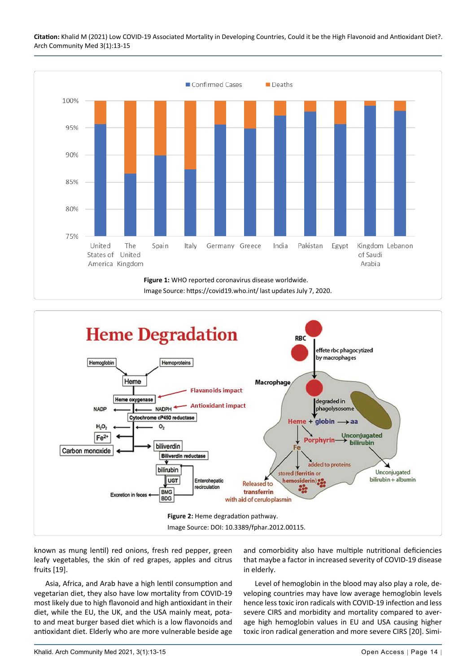**Citation:** Khalid M (2021) Low COVID-19 Associated Mortality in Developing Countries, Could it be the High Flavonoid and Antioxidant Diet?. Arch Community Med 3(1):13-15

<span id="page-1-0"></span>

<span id="page-1-1"></span>

known as mung lentil) red onions, fresh red pepper, green leafy vegetables, the skin of red grapes, apples and citrus fruits [19].

Asia, Africa, and Arab have a high lentil consumption and vegetarian diet, they also have low mortality from COVID-19 most likely due to high flavonoid and high antioxidant in their diet, while the EU, the UK, and the USA mainly meat, potato and meat burger based diet which is a low flavonoids and antioxidant diet. Elderly who are more vulnerable beside age and comorbidity also have multiple nutritional deficiencies that maybe a factor in increased severity of COVID-19 disease in elderly.

Level of hemoglobin in the blood may also play a role, developing countries may have low average hemoglobin levels hence less toxic iron radicals with COVID-19 infection and less severe CIRS and morbidity and mortality compared to average high hemoglobin values in EU and USA causing higher toxic iron radical generation and more severe CIRS [20]. Simi